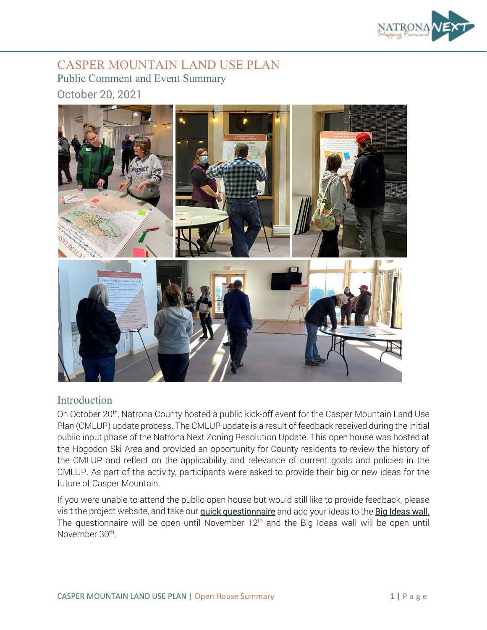

## CASPER MOUNTAIN LAND USE PLAN Public Comment and Event Summary October 20, 2021



#### Introduction

On October 20<sup>th</sup>, Natrona County hosted a public kick-off event for the Casper Mountain Land Use Plan (CMLUP) update process. The CMLUP update is a result of feedback received during the initial public input phase of the Natrona Next Zoning Resolution Update. This open house was hosted at the Hogodon Ski Area and provided an opportunity for County residents to review the history of the CMLUP and reflect on the applicability and relevance of current goals and policies in the CMLUP. As part of the activity, participants were asked to provide their big or new ideas for the future of Casper Mountain.

If you were unable to attend the public open house but would still like to provide feedback, please visit the project website, and take our *quick questionnaire* and add your ideas to the **Big Ideas wall.** The questionnaire will be open until November 12th and the Big Ideas wall will be open until November 30th.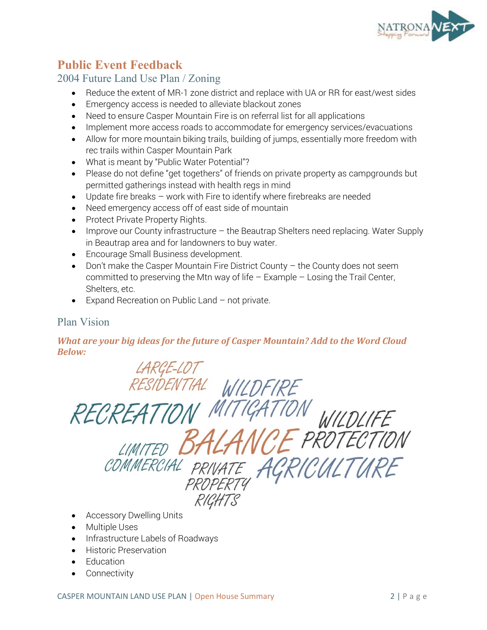

# **Public Event Feedback**

## 2004 Future Land Use Plan / Zoning

- Reduce the extent of MR-1 zone district and replace with UA or RR for east/west sides
- Emergency access is needed to alleviate blackout zones
- Need to ensure Casper Mountain Fire is on referral list for all applications
- Implement more access roads to accommodate for emergency services/evacuations
- Allow for more mountain biking trails, building of jumps, essentially more freedom with rec trails within Casper Mountain Park
- What is meant by "Public Water Potential"?
- Please do not define "get togethers" of friends on private property as campgrounds but permitted gatherings instead with health regs in mind
- Update fire breaks work with Fire to identify where firebreaks are needed
- Need emergency access off of east side of mountain
- Protect Private Property Rights.
- Improve our County infrastructure the Beautrap Shelters need replacing. Water Supply in Beautrap area and for landowners to buy water.
- Encourage Small Business development.
- Don't make the Casper Mountain Fire District County the County does not seem committed to preserving the Mtn way of life – Example – Losing the Trail Center, Shelters, etc.
- Expand Recreation on Public Land not private.

#### Plan Vision

#### *What are your big ideas for the future of Casper Mountain? Add to the Word Cloud Below:*

LARGE-LOT RESIDENTIAL WILDFIRE RECREATION WILDLIFE CE PROTECTION LIMITED B1 COMMERCIAL PRIVATE ACRICULTURE PROPERTY RICHTS

- Accessory Dwelling Units
- Multiple Uses
- Infrastructure Labels of Roadways
- Historic Preservation
- Education
- **Connectivity**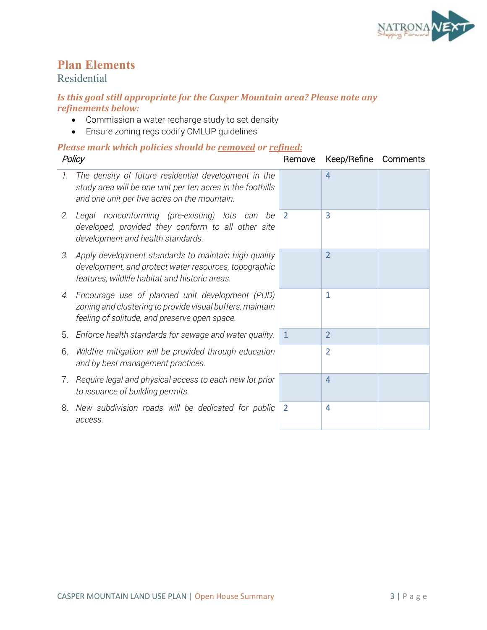

# **Plan Elements**

## Residential

#### *Is this goal still appropriate for the Casper Mountain area? Please note any refinements below:*

- Commission a water recharge study to set density
- Ensure zoning regs codify CMLUP guidelines

| Policy |                                                                                                                                                                    | Remove       | Keep/Refine    | Comments |
|--------|--------------------------------------------------------------------------------------------------------------------------------------------------------------------|--------------|----------------|----------|
| 7.     | The density of future residential development in the<br>study area will be one unit per ten acres in the foothills<br>and one unit per five acres on the mountain. |              | 4              |          |
|        | 2. Legal nonconforming (pre-existing) lots can<br>be<br>developed, provided they conform to all other site<br>development and health standards.                    | 2            | 3              |          |
| 3.     | Apply development standards to maintain high quality<br>development, and protect water resources, topographic<br>features, wildlife habitat and historic areas.    |              | $\overline{2}$ |          |
| 4.     | Encourage use of planned unit development (PUD)<br>zoning and clustering to provide visual buffers, maintain<br>feeling of solitude, and preserve open space.      |              | 1              |          |
| 5.     | Enforce health standards for sewage and water quality.                                                                                                             | $\mathbf{1}$ | $\overline{2}$ |          |
| 6.     | Wildfire mitigation will be provided through education<br>and by best management practices.                                                                        |              | $\overline{2}$ |          |
|        | 7. Require legal and physical access to each new lot prior<br>to issuance of building permits.                                                                     |              | $\overline{4}$ |          |
| 8.     | New subdivision roads will be dedicated for public<br>access.                                                                                                      | 2            | 4              |          |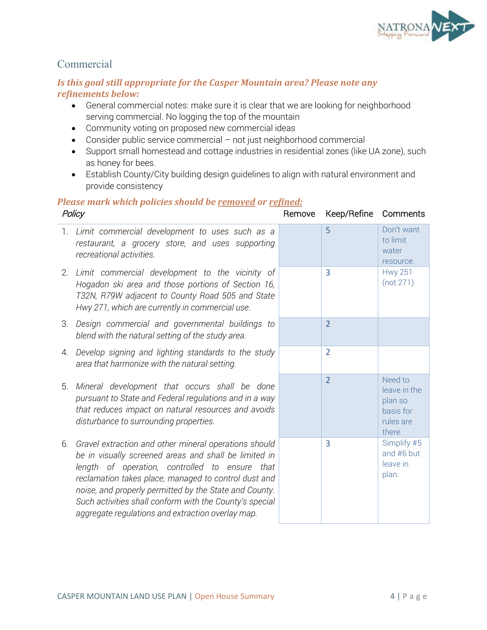

## Commercial

#### *Is this goal still appropriate for the Casper Mountain area? Please note any refinements below:*

- General commercial notes: make sure it is clear that we are looking for neighborhood serving commercial. No logging the top of the mountain
- Community voting on proposed new commercial ideas
- Consider public service commercial not just neighborhood commercial
- Support small homestead and cottage industries in residential zones (like UA zone), such as honey for bees.
- Establish County/City building design guidelines to align with natural environment and provide consistency

| Policy |                                                                                                                                                                                                                                                                                                                                                                                                    | Remove | Keep/Refine    | Comments                                                               |
|--------|----------------------------------------------------------------------------------------------------------------------------------------------------------------------------------------------------------------------------------------------------------------------------------------------------------------------------------------------------------------------------------------------------|--------|----------------|------------------------------------------------------------------------|
|        | 1. Limit commercial development to uses such as a<br>restaurant, a grocery store, and uses supporting<br>recreational activities.                                                                                                                                                                                                                                                                  |        | 5              | Don't want<br>to limit<br>water<br>resource.                           |
| 2.     | Limit commercial development to the vicinity of<br>Hogadon ski area and those portions of Section 16,<br>T32N, R79W adjacent to County Road 505 and State<br>Hwy 271, which are currently in commercial use.                                                                                                                                                                                       |        | $\overline{3}$ | <b>Hwy 251</b><br>(not 271)                                            |
|        | 3. Design commercial and governmental buildings to<br>blend with the natural setting of the study area.                                                                                                                                                                                                                                                                                            |        | $\overline{2}$ |                                                                        |
|        | 4. Develop signing and lighting standards to the study<br>area that harmonize with the natural setting.                                                                                                                                                                                                                                                                                            |        | $\overline{2}$ |                                                                        |
| 5.     | Mineral development that occurs shall be done<br>pursuant to State and Federal regulations and in a way<br>that reduces impact on natural resources and avoids<br>disturbance to surrounding properties.                                                                                                                                                                                           |        | $\overline{2}$ | Need to<br>leave in the<br>plan so<br>basis for<br>rules are<br>there. |
| 6.     | Gravel extraction and other mineral operations should<br>be in visually screened areas and shall be limited in<br>length of operation, controlled to ensure that<br>reclamation takes place, managed to control dust and<br>noise, and properly permitted by the State and County.<br>Such activities shall conform with the County's special<br>aggregate regulations and extraction overlay map. |        | 3              | Simplify #5<br>and #6 but<br>leave in<br>plan.                         |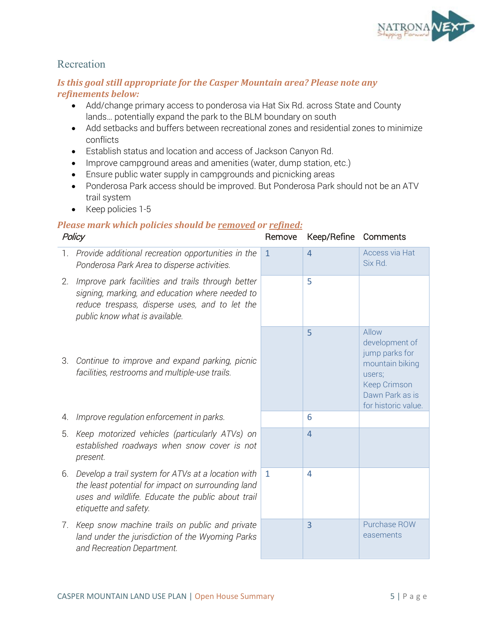

#### Recreation

#### *Is this goal still appropriate for the Casper Mountain area? Please note any refinements below:*

- Add/change primary access to ponderosa via Hat Six Rd. across State and County lands… potentially expand the park to the BLM boundary on south
- Add setbacks and buffers between recreational zones and residential zones to minimize conflicts
- Establish status and location and access of Jackson Canyon Rd.
- Improve campground areas and amenities (water, dump station, etc.)
- Ensure public water supply in campgrounds and picnicking areas
- Ponderosa Park access should be improved. But Ponderosa Park should not be an ATV trail system
- Keep policies 1-5

| Policy |                                                                                                                                                                                          | Remove       | Keep/Refine    | Comments                                                                                                                         |
|--------|------------------------------------------------------------------------------------------------------------------------------------------------------------------------------------------|--------------|----------------|----------------------------------------------------------------------------------------------------------------------------------|
| 1.     | Provide additional recreation opportunities in the<br>Ponderosa Park Area to disperse activities.                                                                                        | $\mathbf{1}$ | $\overline{4}$ | Access via Hat<br>Six Rd.                                                                                                        |
| 2.     | Improve park facilities and trails through better<br>signing, marking, and education where needed to<br>reduce trespass, disperse uses, and to let the<br>public know what is available. |              | 5              |                                                                                                                                  |
| З.     | Continue to improve and expand parking, picnic<br>facilities, restrooms and multiple-use trails.                                                                                         |              | 5              | Allow<br>development of<br>jump parks for<br>mountain biking<br>users;<br>Keep Crimson<br>Dawn Park as is<br>for historic value. |
| 4.     | Improve regulation enforcement in parks.                                                                                                                                                 |              | 6              |                                                                                                                                  |
| 5.     | Keep motorized vehicles (particularly ATVs) on<br>established roadways when snow cover is not<br>present.                                                                                |              | $\overline{4}$ |                                                                                                                                  |
| 6.     | Develop a trail system for ATVs at a location with<br>the least potential for impact on surrounding land<br>uses and wildlife. Educate the public about trail<br>etiquette and safety.   | $\mathbf{1}$ | $\overline{4}$ |                                                                                                                                  |
| 7.     | Keep snow machine trails on public and private<br>land under the jurisdiction of the Wyoming Parks<br>and Recreation Department.                                                         |              | 3              | Purchase ROW<br>easements                                                                                                        |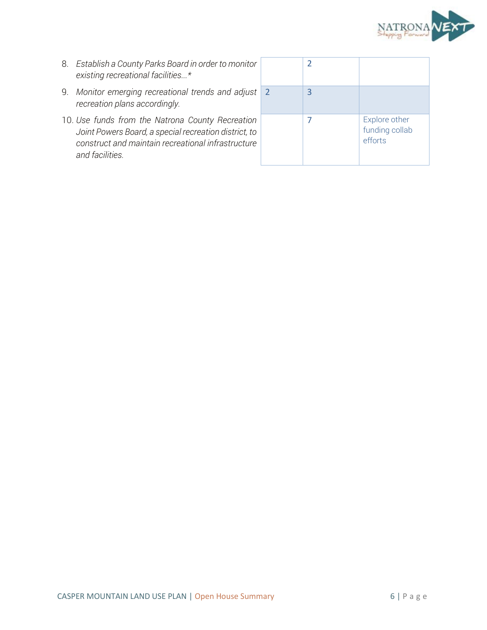

- 8. *Establish a County Parks Board in order to monitor existing recreational facilities...\**
- 9. *Monitor emerging recreational trends and adjust recreation plans accordingly.*
- 10. *Use funds from the Natrona County Recreation Joint Powers Board, a special recreation district, to construct and maintain recreational infrastructure and facilities.*

|                | $\overline{2}$ |                                            |
|----------------|----------------|--------------------------------------------|
| $\overline{2}$ | 3              |                                            |
|                |                | Explore other<br>funding collab<br>efforts |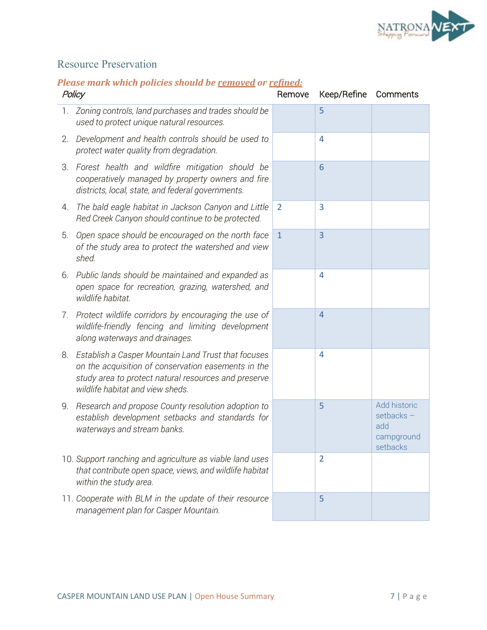

# Resource Preservation

| Policy |                                                                                                                                                                                                        | Remove         | Keep/Refine    | Comments                                                   |
|--------|--------------------------------------------------------------------------------------------------------------------------------------------------------------------------------------------------------|----------------|----------------|------------------------------------------------------------|
| 1.     | Zoning controls, land purchases and trades should be<br>used to protect unique natural resources.                                                                                                      |                | 5              |                                                            |
| 2.     | Development and health controls should be used to<br>protect water quality from degradation.                                                                                                           |                | $\overline{4}$ |                                                            |
| 3.     | Forest health and wildfire mitigation should be<br>cooperatively managed by property owners and fire<br>districts, local, state, and federal governments.                                              |                | 6              |                                                            |
| 4.     | The bald eagle habitat in Jackson Canyon and Little<br>Red Creek Canyon should continue to be protected.                                                                                               | $\overline{2}$ | 3              |                                                            |
| 5.     | Open space should be encouraged on the north face<br>of the study area to protect the watershed and view<br>shed.                                                                                      | $\mathbf{1}$   | $\overline{3}$ |                                                            |
| 6.     | Public lands should be maintained and expanded as<br>open space for recreation, grazing, watershed, and<br>wildlife habitat.                                                                           |                | $\overline{4}$ |                                                            |
| 7.     | Protect wildlife corridors by encouraging the use of<br>wildlife-friendly fencing and limiting development<br>along waterways and drainages.                                                           |                | $\overline{4}$ |                                                            |
| 8.     | Establish a Casper Mountain Land Trust that focuses<br>on the acquisition of conservation easements in the<br>study area to protect natural resources and preserve<br>wildlife habitat and view sheds. |                | $\overline{4}$ |                                                            |
| 9.     | Research and propose County resolution adoption to<br>establish development setbacks and standards for<br>waterways and stream banks.                                                                  |                | 5              | Add historic<br>setbacks-<br>add<br>campground<br>setbacks |
|        | 10. Support ranching and agriculture as viable land uses<br>that contribute open space, views, and wildlife habitat<br>within the study area.                                                          |                | $\overline{2}$ |                                                            |
|        | 11. Cooperate with BLM in the update of their resource<br>management plan for Casper Mountain.                                                                                                         |                | 5              |                                                            |